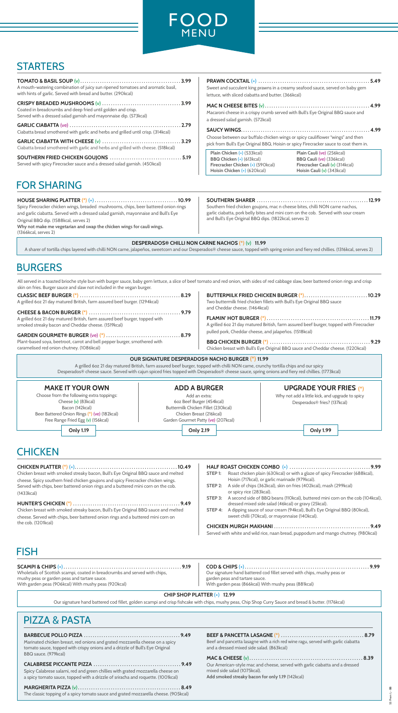### **CHICKEN PLATTER** (\*) (+). . . . . . . . . . . . . . . . . . . . . . . . . . . . . . . . . . . . . . . . . . . . . . . **10.49**

Chicken breast with smoked streaky bacon, Bull's Eye Original BBQ sauce and melted cheese. Spicy southern fried chicken goujons and spicy Firecracker chicken wings. Served with chips, beer battered onion rings and a buttered mini corn on the cob. (1433kcal)

### **HUNTER'S CHICKEN** (\*) . . . . . . . . . . . . . . . . . . . . . . . . . . . . . . . . . . . . . . . . . . . . . . . . . **9.49**

### **PRAWN COCKTAIL** (+) . . . . . . . . . . . . . . . . . . . . . . . . . . . . . . . . . . . . . . . . . . . . . . . . . . . **5.49** reamy seafood sauce, served on baby gem  $(366kcal)$

Chicken breast with smoked streaky bacon, Bull's Eye Original BBQ sauce and melted cheese. Served with chips, beer battered onion rings and a buttered mini corn on the cob. (1201kcal)

**MAC N CHEESE BITES** (v). . . . . . . . . . . . . . . . . . . . . . . . . . . . . . . . . . . . . . . . . . . . . . . . **4.99** ed with Bull's Eye Original BBQ sauce and

| A mouth-watering combination of juicy sun ripened tomatoes and aromatic basil,<br>with hints of garlic. Served with bread and butter. (290kcal) | <b>PRAWN COCKTAIL <math>(+)</math></b><br>Sweet and succulent king prawns in a cr<br>lettuce, with sliced ciabatta and butter. |
|-------------------------------------------------------------------------------------------------------------------------------------------------|--------------------------------------------------------------------------------------------------------------------------------|
| Coated in breadcrumbs and deep fried until golden and crisp.<br>Served with a dressed salad garnish and mayonnaise dip. (573kcal)               | MAC N CHEESE BITES (v)<br>Macaroni cheese in a crispy crumb serve<br>a dressed salad garnish. (572kcal)                        |
| Ciabatta bread smothered with garlic and herbs and grilled until crisp. (314kcal)                                                               | <b>SAUCY WINGS</b>                                                                                                             |
| Ciabatta bread smothered with garlic and herbs and grilled with cheese. (518kcal)                                                               | Choose between our buffalo chicken wi<br>pick from Bull's Eye Original BBQ, Hoisir                                             |
| Served with spicy Firecracker sauce and a dressed salad garnish. (450kcal)                                                                      | Plain Chicken (+) (533kcal)<br>BBQ Chicken (+) (613kcal)<br>Firecracker Chicken (+) (590kcal)                                  |

**SAUCY WINGS**. . . . . . . . . . . . . . . . . . . . . . . . . . . . . . . . . . . . . . . . . . . . . . . . . . . . . . . . . . . **4.99** ngs or spicy cauliflower "wings" and then n or spicy Firecracker sauce to coat them in.

### **BARBECUE POLLO PIZZA** . . . . . . . . . . . . . . . . . . . . . . . . . . . . . . . . . . . . . . . . . . . . **9.49**

Marinated chicken breast, red onions and grated mozzarella cheese on a spicy tomato sauce, topped with crispy onions and a drizzle of Bull's Eye Original BBQ sauce. (979kcal)

#### **CALABRESE PICCANTE PIZZA** . . . . . . . . . . . . . . . . . . . . . . . . . . . . . . . . . . . . . . . . **9.49**

Spicy Calabrese salami, red and green chillies with grated mozzarella cheese on a spicy tomato sauce, topped with a drizzle of sriracha and roquette. (1001kcal)

### **MARGHERITA PIZZA** (v). . . . . . . . . . . . . . . . . . . . . . . . . . . . . . . . . . . . . . . . . . . . . . . **8.49**

The classic topping of a spicy tomato sauce and grated mozzarella cheese. (905kcal)

### **SCAMPI & CHIPS** (+). . . . . . . . . . . . . . . . . . . . . . . . . . . . . . . . . . . . . . . . . . . . . . . . . . . . . . **9.19**

Wholetails of Scottish scampi, coated in breadcrumbs and served with chips, mushy peas or garden peas and tartare sauce. With garden peas (906kcal) With mushy peas (920kcal)

#### **COD & CHIPS** (+). . . . . . . . . . . . . . . . . . . . . . . . . . . . . . . . . . . . . . . . . . . . . . . . . . . . . . . . . **9.99** Our signature hand battered cod fillet served with chips, mushy peas or garden peas and tartare sauce. With garden peas (866kcal) With mushy peas (881kcal)

#### **HALF ROAST CHICKEN COMBO** (+) . . . . . . . . . . . . . . . . . . . . . . . . . . . . . . . . . . . . . **9.99 STEP 1:** Roast chicken plain (630kcal) or with a glaze of spicy Firecracker (688kcal), Hoisin (717kcal), or garlic marinade (979kcal). **STEP 2:** A side of chips (362kcal), skin on fries (402kcal), mash (299kcal) or spicy rice (283kcal). **STEP 3:** A second side of BBQ beans (110kcal), buttered mini corn on the cob (104kcal),

- dressed mixed side salad (46kcal) or gravy (25kcal).
- **STEP 4:** A dipping sauce of sour cream (94kcal), Bull's Eye Original BBQ (80kcal), sweet chilli (70kcal), or mayonnaise (140kcal).

| Served with white and wild rice, naan bread, puppodum and mango chutney. (980kcal) |  |
|------------------------------------------------------------------------------------|--|

| Beef and pancetta lasagne with a rich red wine ragu, served with garlic ciabatta<br>and a dressed mixed side salad. (863kcal) |  |
|-------------------------------------------------------------------------------------------------------------------------------|--|
|                                                                                                                               |  |
| Our American-style mac and cheese, served with garlic ciabatta and a dressed                                                  |  |

**Add smoked streaky bacon for only 1.19** (142kcal)

| Plain Chicken (+) (533kcal)              | Plain Cauli (ve) (256kcal)       |
|------------------------------------------|----------------------------------|
| <b>BBQ Chicken (+) (613 kcal)</b>        | <b>BBQ Cauli (ve) (336 kcal)</b> |
| <b>Firecracker Chicken (+) (590kcal)</b> | Firecracker Cauli (v) (314kcal)  |
| Hoisin Chicken (+) (620kcal)             | Hoisin Cauli $(v)$ (343 kcal)    |

#### **CHIP SHOP PLATTER** (+) **12.99**

Our signature hand battered cod fillet, golden scampi and crisp fishcake with chips, mushy peas, Chip Shop Curry Sauce and bread & butter. (1176kcal)

### PIZZA & PASTA

### FISH

**DESPERADOS® CHILLI NON CARNE NACHOS** (\*) (v) **11.99**

A sharer of tortilla chips layered with chilli NON carne, jalapeños, sweetcorn and our Desperados® cheese sauce, topped with spring onion and fiery red chillies. (1316kcal, serves 2)

| Spicy Firecracker chicken wings, breaded mushrooms, chips, beer battered onion rings<br>and garlic ciabatta. Served with a dressed salad garnish, mayonnaise and Bull's Eye<br>Original BBQ dip. (1588kcal, serves 2)<br>Why not make me vegetarian and swap the chicken wings for cauli wings.<br>(1366kcal, serves 2) | Southern fried chicken goujons, mac n cheese bites, chilli NON carne nachos,<br>garlic ciabatta, pork belly bites and mini corn on the cob. Served with sour cream<br>and Bull's Eye Original BBQ dips. (1822kcal, serves 2) |
|-------------------------------------------------------------------------------------------------------------------------------------------------------------------------------------------------------------------------------------------------------------------------------------------------------------------------|------------------------------------------------------------------------------------------------------------------------------------------------------------------------------------------------------------------------------|
|-------------------------------------------------------------------------------------------------------------------------------------------------------------------------------------------------------------------------------------------------------------------------------------------------------------------------|------------------------------------------------------------------------------------------------------------------------------------------------------------------------------------------------------------------------------|

# FOR SHARING



## **STARTERS**

All served in a toasted brioche style bun with burger sauce, baby gem lettuce, a slice of beef tomato and red onion, with sides of red cabbage slaw, beer battered onion rings and crisp skin on fries. Burger sauce and slaw not included in the vegan burger.

### **MAKE IT YOUR OWN**

Choose from the following extra toppings: Cheese (v) (83kcal) Bacon (142kcal) Beer Battered Onion Rings (\*) (ve) (182kcal) Free Range Fried Egg (v) (156kcal)

#### **ADD A BURGER** Add an extra:

6oz Beef Burger (454kcal) Buttermilk Chicken Fillet (230kcal) Chicken Breast (216kcal) Garden Gourmet Patty (ve) (207kcal)



Why not add a little kick, and upgrade to spicy Desperados® fries? (137kcal)

# **CHICKEN**

**Only 1.19 Only 2.19 Only 1.99**

#### **OUR SIGNATURE DESPERADOS® NACHO BURGER** (\*) **11.99**

A grilled 6oz 21 day matured British, farm assured beef burger, topped with chilli NON carne, crunchy tortilla chips and our spicy Desperados® cheese sauce. Served with cajun spiced fries topped with Desperados® cheese sauce, spring onions and fiery red chillies. (1773kcal)

| A grilled 60z 21 day matured British, farm assured beef burger. (1294kcal)  | Two buttermilk fried chicken fillets with Bull's Eye Original BBQ sauce                 |
|-----------------------------------------------------------------------------|-----------------------------------------------------------------------------------------|
|                                                                             | and Cheddar cheese. (1464kcal)                                                          |
| A grilled 60z 21 day matured British, farm assured beef burger, topped with |                                                                                         |
| smoked streaky bacon and Cheddar cheese. (1519kcal)                         | A grilled 60z 21 day matured British, farm assured beef burger, topped with Firecracker |
|                                                                             | pulled pork, Cheddar cheese, and jalapeños. (1518kcal)                                  |
| Plant-based soya, beetroot, carrot and bell pepper burger, smothered with   |                                                                                         |
| caramelised red onion chutney. (1086kcal)                                   | Chicken breast with Bull's Eye Original BBQ sauce and Cheddar cheese. (1220kcal)        |
|                                                                             |                                                                                         |

# BURGERS